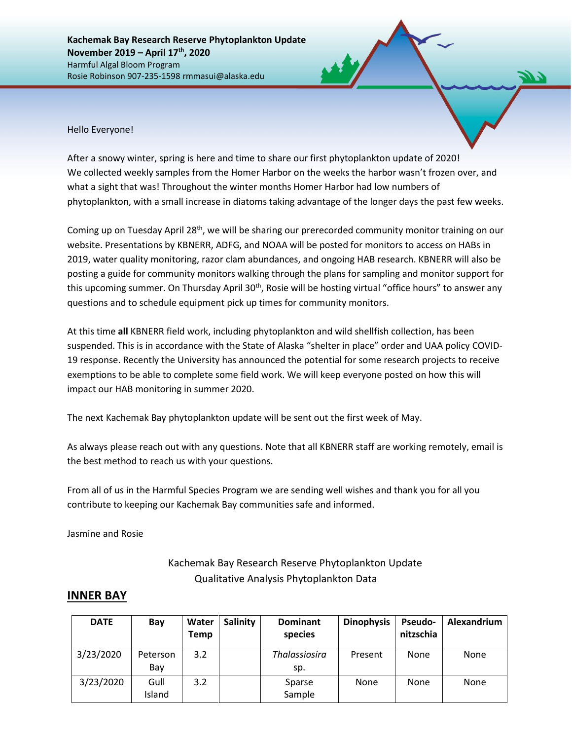**Kachemak Bay Research Reserve Phytoplankton Update November 2019 – April 17th, 2020** Harmful Algal Bloom Program Rosie Robinson 907-235-1598 rmmasui@alaska.edu

Hello Everyone!

After a snowy winter, spring is here and time to share our first phytoplankton update of 2020! We collected weekly samples from the Homer Harbor on the weeks the harbor wasn't frozen over, and what a sight that was! Throughout the winter months Homer Harbor had low numbers of phytoplankton, with a small increase in diatoms taking advantage of the longer days the past few weeks.

Coming up on Tuesday April 28<sup>th</sup>, we will be sharing our prerecorded community monitor training on our website. Presentations by KBNERR, ADFG, and NOAA will be posted for monitors to access on HABs in 2019, water quality monitoring, razor clam abundances, and ongoing HAB research. KBNERR will also be posting a guide for community monitors walking through the plans for sampling and monitor support for this upcoming summer. On Thursday April 30<sup>th</sup>, Rosie will be hosting virtual "office hours" to answer any questions and to schedule equipment pick up times for community monitors.

At this time **all** KBNERR field work, including phytoplankton and wild shellfish collection, has been suspended. This is in accordance with the State of Alaska "shelter in place" order and UAA policy COVID-19 response. Recently the University has announced the potential for some research projects to receive exemptions to be able to complete some field work. We will keep everyone posted on how this will impact our HAB monitoring in summer 2020.

The next Kachemak Bay phytoplankton update will be sent out the first week of May.

As always please reach out with any questions. Note that all KBNERR staff are working remotely, email is the best method to reach us with your questions.

From all of us in the Harmful Species Program we are sending well wishes and thank you for all you contribute to keeping our Kachemak Bay communities safe and informed.

Jasmine and Rosie

## Kachemak Bay Research Reserve Phytoplankton Update Qualitative Analysis Phytoplankton Data

## **INNER BAY**

| <b>DATE</b> | Bay             | Water<br>Temp | <b>Salinity</b> | <b>Dominant</b><br>species  | <b>Dinophysis</b> | <b>Pseudo-</b><br>nitzschia | Alexandrium |
|-------------|-----------------|---------------|-----------------|-----------------------------|-------------------|-----------------------------|-------------|
| 3/23/2020   | Peterson<br>Bay | 3.2           |                 | <b>Thalassiosira</b><br>sp. | Present           | None                        | <b>None</b> |
| 3/23/2020   | Gull<br>Island  | 3.2           |                 | Sparse<br>Sample            | None              | None                        | <b>None</b> |